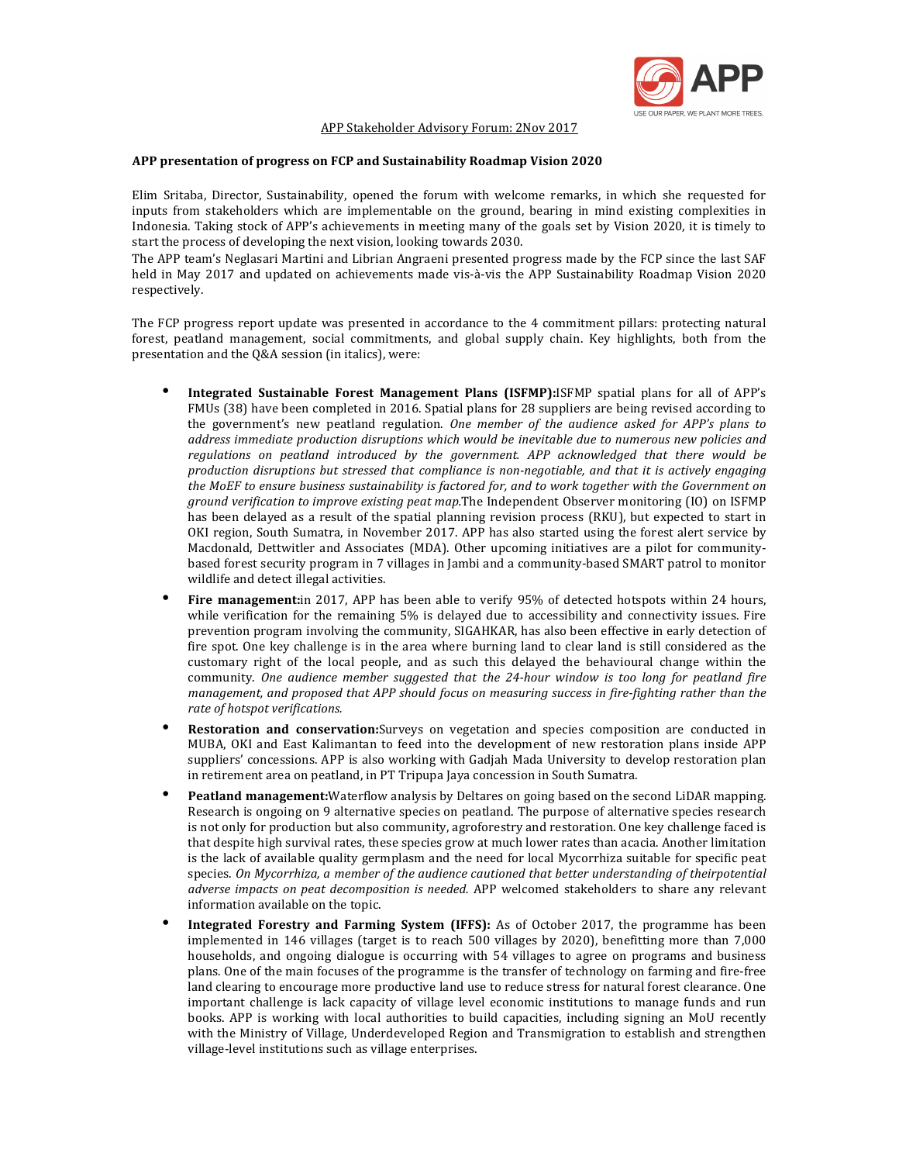

#### APP Stakeholder Advisory Forum: 2Nov 2017

#### APP presentation of progress on FCP and Sustainability Roadmap Vision 2020

Elim Sritaba, Director, Sustainability, opened the forum with welcome remarks, in which she requested for inputs from stakeholders which are implementable on the ground, bearing in mind existing complexities in Indonesia. Taking stock of APP's achievements in meeting many of the goals set by Vision 2020, it is timely to start the process of developing the next vision, looking towards 2030.

The APP team's Neglasari Martini and Librian Angraeni presented progress made by the FCP since the last SAF held in May 2017 and updated on achievements made vis-à-vis the APP Sustainability Roadmap Vision 2020 respectively. 

The FCP progress report update was presented in accordance to the 4 commitment pillars: protecting natural forest, peatland management, social commitments, and global supply chain. Key highlights, both from the presentation and the Q&A session (in italics), were:

- **Integrated Sustainable Forest Management Plans (ISFMP):ISFMP** spatial plans for all of APP's FMUs (38) have been completed in 2016. Spatial plans for 28 suppliers are being revised according to the government's new peatland regulation. One member of the audience asked for APP's plans to *address immediate production disruptions which would be inevitable due to numerous new policies and* regulations on peatland introduced by the government. APP acknowledged that there would be *production disruptions but stressed that compliance is non-negotiable, and that it is actively engaging* the MoEF to ensure business sustainability is factored for, and to work together with the Government on *ground verification to improve existing peat map.*The Independent Observer monitoring (IO) on ISFMP has been delayed as a result of the spatial planning revision process (RKU), but expected to start in OKI region, South Sumatra, in November 2017. APP has also started using the forest alert service by Macdonald, Dettwitler and Associates (MDA). Other upcoming initiatives are a pilot for communitybased forest security program in 7 villages in Jambi and a community-based SMART patrol to monitor wildlife and detect illegal activities.
- Fire management:in 2017, APP has been able to verify 95% of detected hotspots within 24 hours, while verification for the remaining 5% is delayed due to accessibility and connectivity issues. Fire prevention program involving the community, SIGAHKAR, has also been effective in early detection of fire spot. One key challenge is in the area where burning land to clear land is still considered as the customary right of the local people, and as such this delayed the behavioural change within the community. One audience member suggested that the 24-hour window is too long for peatland fire *management, and proposed that APP should focus on measuring success in fire-fighting rather than the rate of hotspot verifications.*
- **Restoration and conservation:**Surveys on vegetation and species composition are conducted in MUBA, OKI and East Kalimantan to feed into the development of new restoration plans inside APP suppliers' concessions. APP is also working with Gadjah Mada University to develop restoration plan in retirement area on peatland, in PT Tripupa Jaya concession in South Sumatra.
- **Peatland management:**Waterflow analysis by Deltares on going based on the second LiDAR mapping. Research is ongoing on 9 alternative species on peatland. The purpose of alternative species research is not only for production but also community, agroforestry and restoration. One key challenge faced is that despite high survival rates, these species grow at much lower rates than acacia. Another limitation is the lack of available quality germplasm and the need for local Mycorrhiza suitable for specific peat species. On Mycorrhiza, a member of the audience cautioned that better understanding of theirpotential *adverse impacts on peat decomposition is needed.* APP welcomed stakeholders to share any relevant information available on the topic.
- **Integrated Forestry and Farming System (IFFS):** As of October 2017, the programme has been implemented in 146 villages (target is to reach 500 villages by 2020), benefitting more than  $7,000$ households, and ongoing dialogue is occurring with 54 villages to agree on programs and business plans. One of the main focuses of the programme is the transfer of technology on farming and fire-free land clearing to encourage more productive land use to reduce stress for natural forest clearance. One important challenge is lack capacity of village level economic institutions to manage funds and run books. APP is working with local authorities to build capacities, including signing an MoU recently with the Ministry of Village, Underdeveloped Region and Transmigration to establish and strengthen village-level institutions such as village enterprises.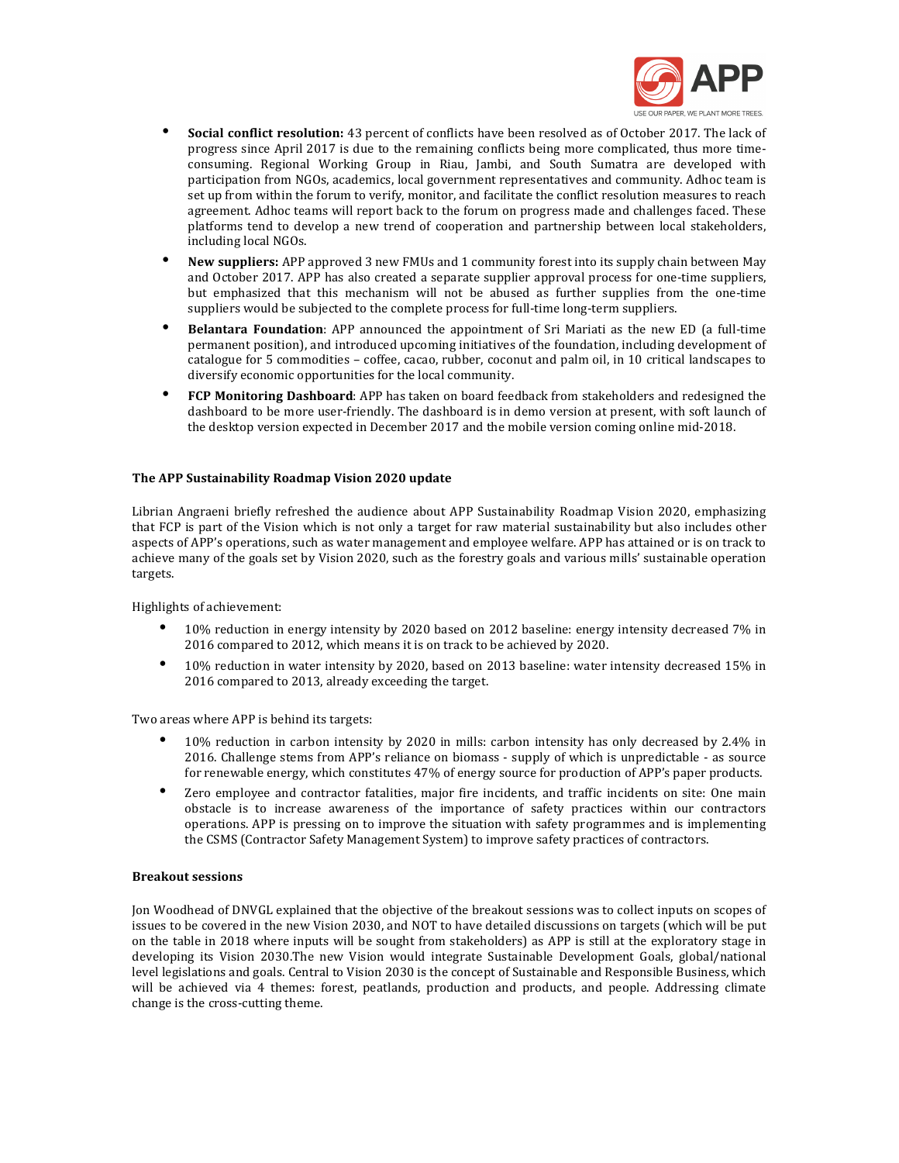

- **Social conflict resolution:** 43 percent of conflicts have been resolved as of October 2017. The lack of progress since April 2017 is due to the remaining conflicts being more complicated, thus more timeconsuming. Regional Working Group in Riau, Jambi, and South Sumatra are developed with participation from NGOs, academics, local government representatives and community. Adhoc team is set up from within the forum to verify, monitor, and facilitate the conflict resolution measures to reach agreement. Adhoc teams will report back to the forum on progress made and challenges faced. These platforms tend to develop a new trend of cooperation and partnership between local stakeholders, including local NGOs.
- New suppliers: APP approved 3 new FMUs and 1 community forest into its supply chain between May and October 2017. APP has also created a separate supplier approval process for one-time suppliers, but emphasized that this mechanism will not be abused as further supplies from the one-time suppliers would be subjected to the complete process for full-time long-term suppliers.
- **Belantara Foundation**: APP announced the appointment of Sri Mariati as the new ED (a full-time permanent position), and introduced upcoming initiatives of the foundation, including development of catalogue for 5 commodities – coffee, cacao, rubber, coconut and palm oil, in 10 critical landscapes to diversify economic opportunities for the local community.
- FCP Monitoring Dashboard: APP has taken on board feedback from stakeholders and redesigned the dashboard to be more user-friendly. The dashboard is in demo version at present, with soft launch of the desktop version expected in December 2017 and the mobile version coming online mid-2018.

## The APP Sustainability Roadmap Vision 2020 update

Librian Angraeni briefly refreshed the audience about APP Sustainability Roadmap Vision 2020, emphasizing that FCP is part of the Vision which is not only a target for raw material sustainability but also includes other aspects of APP's operations, such as water management and employee welfare. APP has attained or is on track to achieve many of the goals set by Vision 2020, such as the forestry goals and various mills' sustainable operation targets. 

Highlights of achievement:

- 10% reduction in energy intensity by 2020 based on 2012 baseline: energy intensity decreased 7% in 2016 compared to 2012, which means it is on track to be achieved by 2020.
- 10% reduction in water intensity by 2020, based on 2013 baseline: water intensity decreased 15% in 2016 compared to 2013, already exceeding the target.

Two areas where APP is behind its targets:

- 10% reduction in carbon intensity by 2020 in mills: carbon intensity has only decreased by 2.4% in 2016. Challenge stems from APP's reliance on biomass - supply of which is unpredictable - as source for renewable energy, which constitutes 47% of energy source for production of APP's paper products.
- Zero employee and contractor fatalities, major fire incidents, and traffic incidents on site: One main obstacle is to increase awareness of the importance of safety practices within our contractors operations. APP is pressing on to improve the situation with safety programmes and is implementing the CSMS (Contractor Safety Management System) to improve safety practices of contractors.

### **Breakout sessions**

Jon Woodhead of DNVGL explained that the objective of the breakout sessions was to collect inputs on scopes of issues to be covered in the new Vision 2030, and NOT to have detailed discussions on targets (which will be put on the table in 2018 where inputs will be sought from stakeholders) as APP is still at the exploratory stage in developing its Vision 2030.The new Vision would integrate Sustainable Development Goals, global/national level legislations and goals. Central to Vision 2030 is the concept of Sustainable and Responsible Business, which will be achieved via 4 themes: forest, peatlands, production and products, and people. Addressing climate change is the cross-cutting theme.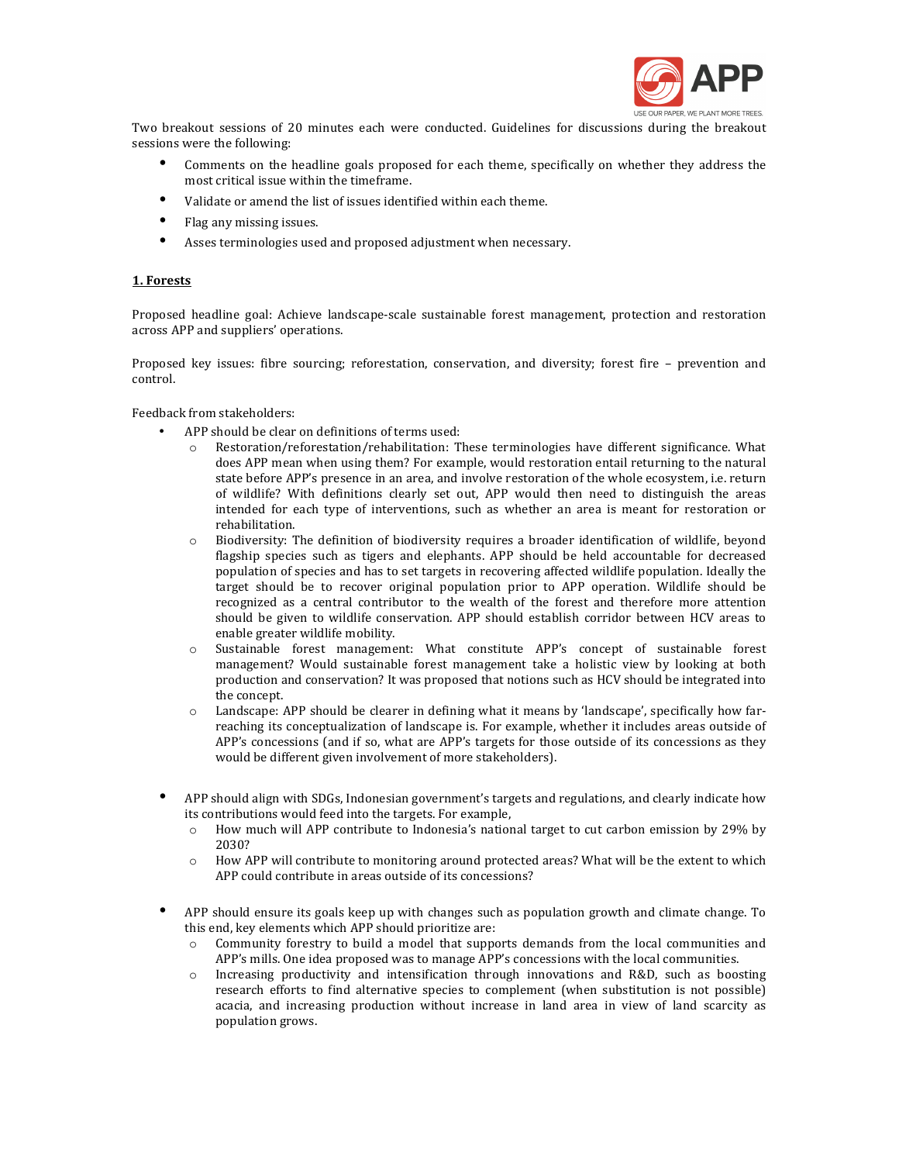

Two breakout sessions of 20 minutes each were conducted. Guidelines for discussions during the breakout sessions were the following:

- Comments on the headline goals proposed for each theme, specifically on whether they address the most critical issue within the timeframe.
- Validate or amend the list of issues identified within each theme.
- Flag any missing issues.
- Asses terminologies used and proposed adjustment when necessary.

## **1. Forests**

Proposed headline goal: Achieve landscape-scale sustainable forest management, protection and restoration across APP and suppliers' operations.

Proposed key issues: fibre sourcing; reforestation, conservation, and diversity; forest fire - prevention and control.

Feedback from stakeholders:

- APP should be clear on definitions of terms used:
	- Restoration/reforestation/rehabilitation: These terminologies have different significance. What does APP mean when using them? For example, would restoration entail returning to the natural state before APP's presence in an area, and involve restoration of the whole ecosystem, i.e. return of wildlife? With definitions clearly set out, APP would then need to distinguish the areas intended for each type of interventions, such as whether an area is meant for restoration or rehabilitation.
	- $\circ$  Biodiversity: The definition of biodiversity requires a broader identification of wildlife, beyond flagship species such as tigers and elephants. APP should be held accountable for decreased population of species and has to set targets in recovering affected wildlife population. Ideally the target should be to recover original population prior to APP operation. Wildlife should be recognized as a central contributor to the wealth of the forest and therefore more attention should be given to wildlife conservation. APP should establish corridor between HCV areas to enable greater wildlife mobility.
	- $\circ$  Sustainable forest management: What constitute APP's concept of sustainable forest management? Would sustainable forest management take a holistic view by looking at both production and conservation? It was proposed that notions such as HCV should be integrated into the concept.
	- $\circ$  Landscape: APP should be clearer in defining what it means by 'landscape', specifically how farreaching its conceptualization of landscape is. For example, whether it includes areas outside of APP's concessions (and if so, what are APP's targets for those outside of its concessions as they would be different given involvement of more stakeholders).
- APP should align with SDGs, Indonesian government's targets and regulations, and clearly indicate how its contributions would feed into the targets. For example,
	- $\circ$  How much will APP contribute to Indonesia's national target to cut carbon emission by 29% by 2030?
	- How APP will contribute to monitoring around protected areas? What will be the extent to which APP could contribute in areas outside of its concessions?
- APP should ensure its goals keep up with changes such as population growth and climate change. To this end, key elements which APP should prioritize are:
	- Community forestry to build a model that supports demands from the local communities and APP's mills. One idea proposed was to manage APP's concessions with the local communities.
	- $\circ$  Increasing productivity and intensification through innovations and R&D, such as boosting research efforts to find alternative species to complement (when substitution is not possible) acacia, and increasing production without increase in land area in view of land scarcity as population grows.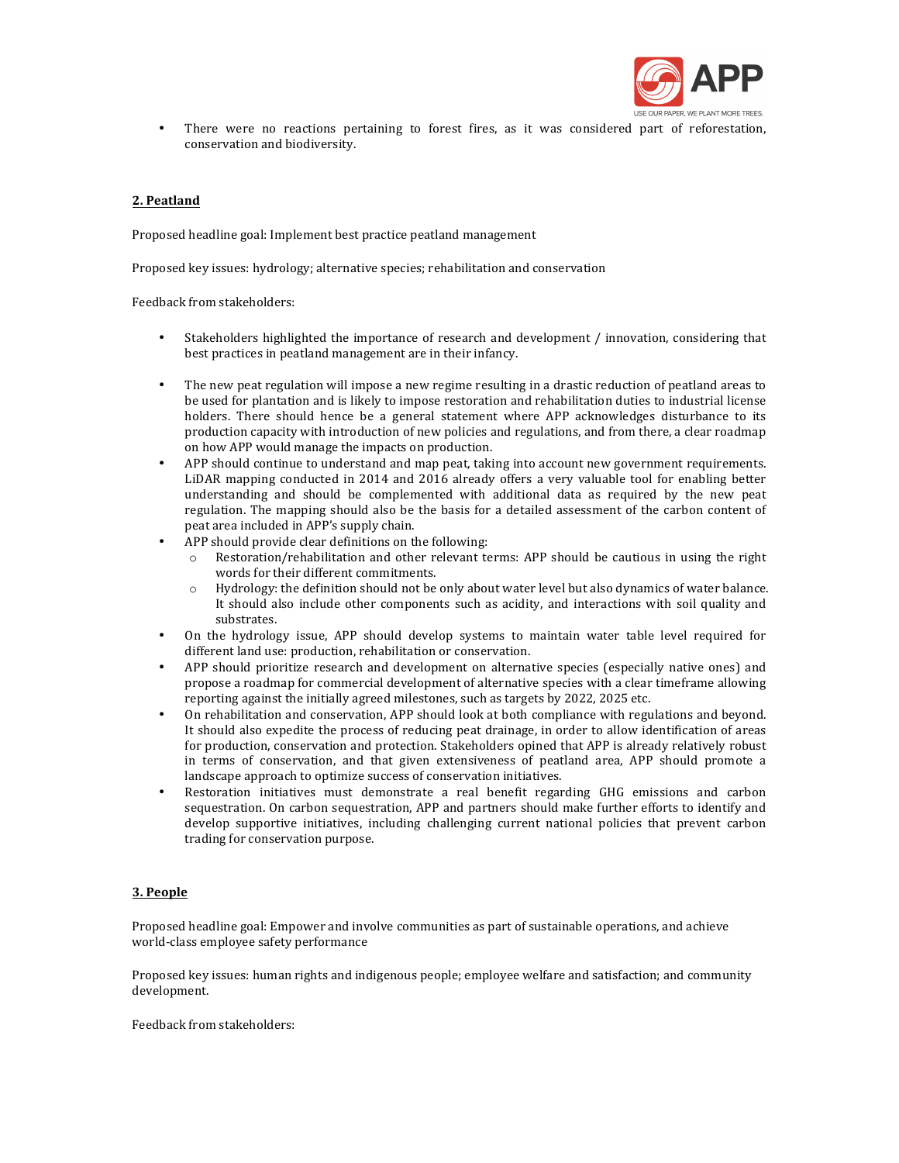

There were no reactions pertaining to forest fires, as it was considered part of reforestation, conservation and biodiversity.

# **2. Peatland**

Proposed headline goal: Implement best practice peatland management

Proposed key issues: hydrology; alternative species; rehabilitation and conservation

Feedback from stakeholders:

- Stakeholders highlighted the importance of research and development / innovation, considering that best practices in peatland management are in their infancy.
- The new peat regulation will impose a new regime resulting in a drastic reduction of peatland areas to be used for plantation and is likely to impose restoration and rehabilitation duties to industrial license holders. There should hence be a general statement where APP acknowledges disturbance to its production capacity with introduction of new policies and regulations, and from there, a clear roadmap on how APP would manage the impacts on production.
- APP should continue to understand and map peat, taking into account new government requirements. LiDAR mapping conducted in 2014 and 2016 already offers a very valuable tool for enabling better understanding and should be complemented with additional data as required by the new peat regulation. The mapping should also be the basis for a detailed assessment of the carbon content of peat area included in APP's supply chain.
- APP should provide clear definitions on the following:
	- $\circ$  Restoration/rehabilitation and other relevant terms: APP should be cautious in using the right words for their different commitments.
	- o Hydrology: the definition should not be only about water level but also dynamics of water balance. It should also include other components such as acidity, and interactions with soil quality and substrates.
- On the hydrology issue, APP should develop systems to maintain water table level required for different land use: production, rehabilitation or conservation.
- APP should prioritize research and development on alternative species (especially native ones) and propose a roadmap for commercial development of alternative species with a clear timeframe allowing reporting against the initially agreed milestones, such as targets by 2022, 2025 etc.
- On rehabilitation and conservation, APP should look at both compliance with regulations and beyond. It should also expedite the process of reducing peat drainage, in order to allow identification of areas for production, conservation and protection. Stakeholders opined that APP is already relatively robust in terms of conservation, and that given extensiveness of peatland area, APP should promote a landscape approach to optimize success of conservation initiatives.
- Restoration initiatives must demonstrate a real benefit regarding GHG emissions and carbon sequestration. On carbon sequestration, APP and partners should make further efforts to identify and develop supportive initiatives, including challenging current national policies that prevent carbon trading for conservation purpose.

## **3. People**

Proposed headline goal: Empower and involve communities as part of sustainable operations, and achieve world-class employee safety performance

Proposed key issues: human rights and indigenous people; employee welfare and satisfaction; and community development. 

Feedback from stakeholders: